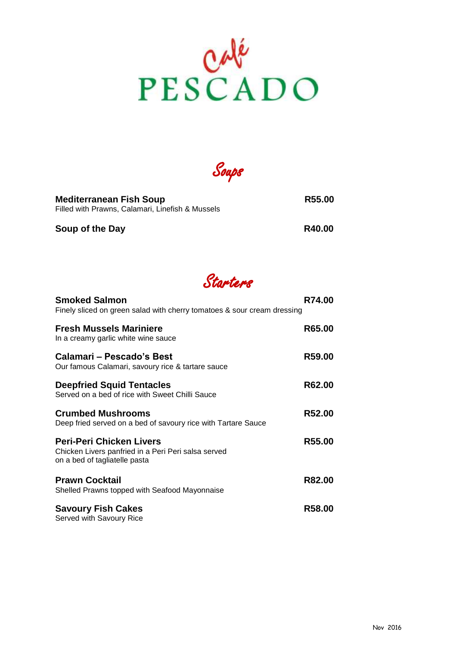

Soups

| <b>Mediterranean Fish Soup</b><br>Filled with Prawns, Calamari, Linefish & Mussels | R55.00 |
|------------------------------------------------------------------------------------|--------|
| Soup of the Day                                                                    | R40.00 |

Starters

| <b>Smoked Salmon</b><br>Finely sliced on green salad with cherry tomatoes & sour cream dressing                         | R74.00 |
|-------------------------------------------------------------------------------------------------------------------------|--------|
| <b>Fresh Mussels Mariniere</b><br>In a creamy garlic white wine sauce                                                   | R65.00 |
| Calamari – Pescado's Best<br>Our famous Calamari, savoury rice & tartare sauce                                          | R59.00 |
| <b>Deepfried Squid Tentacles</b><br>Served on a bed of rice with Sweet Chilli Sauce                                     | R62.00 |
| <b>Crumbed Mushrooms</b><br>Deep fried served on a bed of savoury rice with Tartare Sauce                               | R52.00 |
| <b>Peri-Peri Chicken Livers</b><br>Chicken Livers panfried in a Peri Peri salsa served<br>on a bed of tagliatelle pasta | R55.00 |
| <b>Prawn Cocktail</b><br>Shelled Prawns topped with Seafood Mayonnaise                                                  | R82.00 |
| <b>Savoury Fish Cakes</b><br>Served with Savoury Rice                                                                   | R58.00 |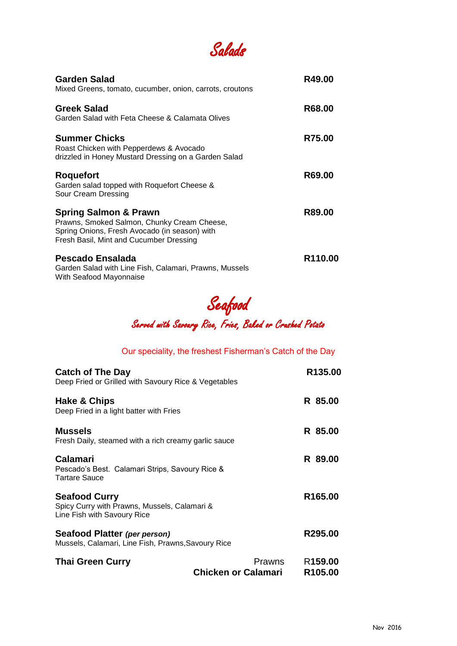

| <b>Garden Salad</b><br>Mixed Greens, tomato, cucumber, onion, carrots, croutons                                                                                             | R49.00  |
|-----------------------------------------------------------------------------------------------------------------------------------------------------------------------------|---------|
| Greek Salad<br>Garden Salad with Feta Cheese & Calamata Olives                                                                                                              | R68.00  |
| <b>Summer Chicks</b><br>Roast Chicken with Pepperdews & Avocado<br>drizzled in Honey Mustard Dressing on a Garden Salad                                                     | R75.00  |
| <b>Roquefort</b><br>Garden salad topped with Roquefort Cheese &<br>Sour Cream Dressing                                                                                      | R69.00  |
| <b>Spring Salmon &amp; Prawn</b><br>Prawns, Smoked Salmon, Chunky Cream Cheese,<br>Spring Onions, Fresh Avocado (in season) with<br>Fresh Basil, Mint and Cucumber Dressing | R89.00  |
| Pescado Ensalada<br>Garden Salad with Line Fish, Calamari, Prawns, Mussels<br>With Seafood Mayonnaise                                                                       | R110.00 |

Seafood

Served with Savoury Rice, Fries, Baked or Crushed Potato

## Our speciality, the freshest Fisherman's Catch of the Day

| <b>Catch of The Day</b>                                                     | R <sub>135.00</sub>                        |  |
|-----------------------------------------------------------------------------|--------------------------------------------|--|
| Deep Fried or Grilled with Savoury Rice & Vegetables                        |                                            |  |
| Hake & Chips                                                                | R 85.00                                    |  |
| Deep Fried in a light batter with Fries                                     |                                            |  |
| <b>Mussels</b>                                                              | R 85.00                                    |  |
| Fresh Daily, steamed with a rich creamy garlic sauce                        |                                            |  |
| <b>Calamari</b>                                                             | R 89.00                                    |  |
| Pescado's Best. Calamari Strips, Savoury Rice &<br><b>Tartare Sauce</b>     |                                            |  |
| <b>Seafood Curry</b>                                                        | R <sub>165.00</sub>                        |  |
| Spicy Curry with Prawns, Mussels, Calamari &<br>Line Fish with Savoury Rice |                                            |  |
| Seafood Platter (per person)                                                | R295.00                                    |  |
| Mussels, Calamari, Line Fish, Prawns, Savoury Rice                          |                                            |  |
| <b>Thai Green Curry</b>                                                     | Prawns<br>R <sub>159.00</sub>              |  |
|                                                                             | Chicken or Calamari<br>R <sub>105.00</sub> |  |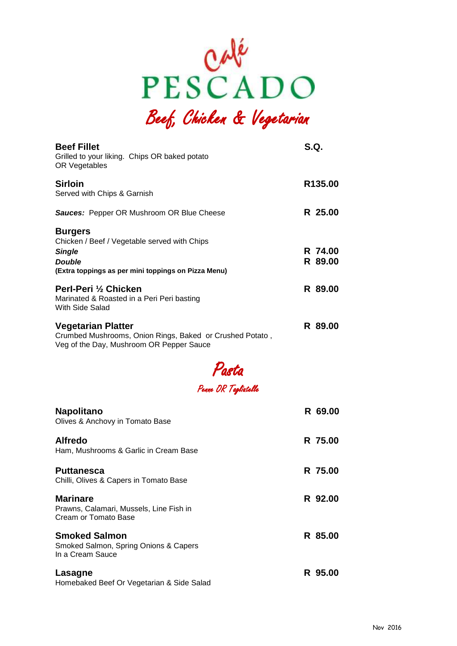

Beef, Chicken & Vegetarian

| <b>Beef Fillet</b><br>Grilled to your liking. Chips OR baked potato<br>OR Vegetables                                                                    | S.Q. |                    |
|---------------------------------------------------------------------------------------------------------------------------------------------------------|------|--------------------|
| <b>Sirloin</b><br>Served with Chips & Garnish                                                                                                           |      | R135.00            |
| <b>Sauces: Pepper OR Mushroom OR Blue Cheese</b>                                                                                                        |      | R 25.00            |
| <b>Burgers</b><br>Chicken / Beef / Vegetable served with Chips<br><b>Single</b><br><b>Double</b><br>(Extra toppings as per mini toppings on Pizza Menu) |      | R 74.00<br>R 89.00 |
| Perl-Peri 1/2 Chicken<br>Marinated & Roasted in a Peri Peri basting<br>With Side Salad                                                                  |      | R 89.00            |
| <b>Vegetarian Platter</b><br>Crumbed Mushrooms, Onion Rings, Baked or Crushed Potato,<br>Veg of the Day, Mushroom OR Pepper Sauce                       |      | R 89.00            |



## Penne OR Tagliatelle

| <b>Napolitano</b><br>Olives & Anchovy in Tomato Base                               | R 69.00 |
|------------------------------------------------------------------------------------|---------|
| <b>Alfredo</b><br>Ham, Mushrooms & Garlic in Cream Base                            | R 75.00 |
| <b>Puttanesca</b><br>Chilli, Olives & Capers in Tomato Base                        | R 75.00 |
| <b>Marinare</b><br>Prawns, Calamari, Mussels, Line Fish in<br>Cream or Tomato Base | R 92.00 |
| <b>Smoked Salmon</b><br>Smoked Salmon, Spring Onions & Capers<br>In a Cream Sauce  | R 85.00 |
| Lasagne<br>Homebaked Beef Or Vegetarian & Side Salad                               | R 95.00 |